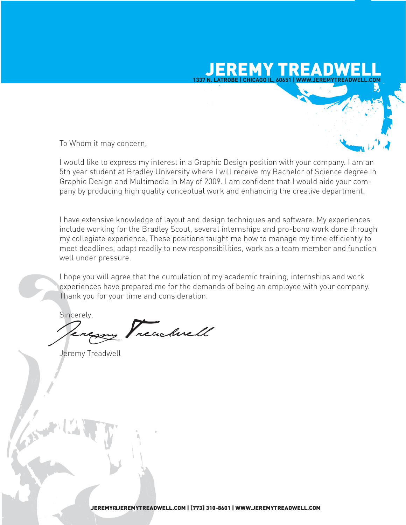# JEREMY TREADWELL **1337 N. LATROBE | CHICAGO IL, 60651 | WWW.JEREMYTREADWELL.COM**

To Whom it may concern,

I would like to express my interest in a Graphic Design position with your company. I am an 5th year student at Bradley University where I will receive my Bachelor of Science degree in Graphic Design and Multimedia in May of 2009. I am confident that I would aide your company by producing high quality conceptual work and enhancing the creative department.

I have extensive knowledge of layout and design techniques and software. My experiences include working for the Bradley Scout, several internships and pro-bono work done through my collegiate experience. These positions taught me how to manage my time efficiently to meet deadlines, adapt readily to new responsibilities, work as a team member and function well under pressure.

I hope you will agree that the cumulation of my academic training, internships and work experiences have prepared me for the demands of being an employee with your company. Thank you for your time and consideration.

Sincerely,

reachnell

Jeremy Treadwell